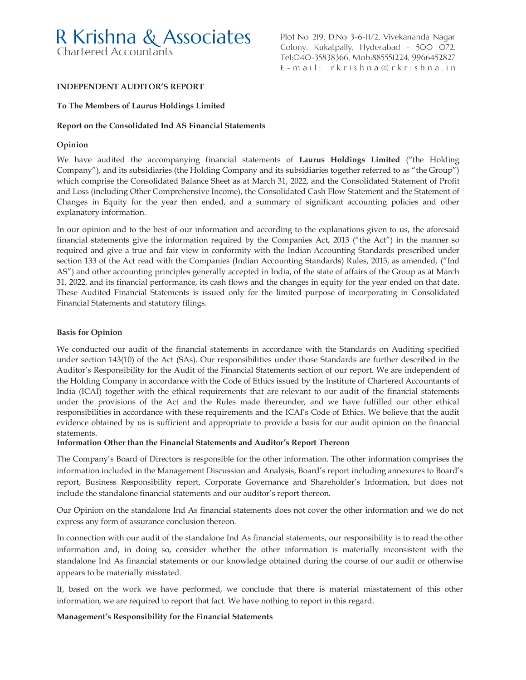# R Krishna & Associates **Chartered Accountants**

Plot No 219, D.No 3-6-11/2, Vivekananda Nagar Colony, Kukatpally, Hyderabad - 500 072. Tel:O4O-35838366, Mob:885551224, 9966452827 E-mail: rkrishna@rkrishna.in

# **INDEPENDENT AUDITOR'S REPORT**

# **To The Members of Laurus Holdings Limited**

# **Report on the Consolidated Ind AS Financial Statements**

# **Opinion**

We have audited the accompanying financial statements of **Laurus Holdings Limited** ("the Holding Company"), and its subsidiaries (the Holding Company and its subsidiaries together referred to as "the Group") which comprise the Consolidated Balance Sheet as at March 31, 2022, and the Consolidated Statement of Profit and Loss (including Other Comprehensive Income), the Consolidated Cash Flow Statement and the Statement of Changes in Equity for the year then ended, and a summary of significant accounting policies and other explanatory information.

In our opinion and to the best of our information and according to the explanations given to us, the aforesaid financial statements give the information required by the Companies Act, 2013 ("the Act") in the manner so required and give a true and fair view in conformity with the Indian Accounting Standards prescribed under section 133 of the Act read with the Companies (Indian Accounting Standards) Rules, 2015, as amended, ("Ind AS") and other accounting principles generally accepted in India, of the state of affairs of the Group as at March 31, 2022, and its financial performance, its cash flows and the changes in equity for the year ended on that date. These Audited Financial Statements is issued only for the limited purpose of incorporating in Consolidated Financial Statements and statutory filings.

## **Basis for Opinion**

We conducted our audit of the financial statements in accordance with the Standards on Auditing specified under section 143(10) of the Act (SAs). Our responsibilities under those Standards are further described in the Auditor's Responsibility for the Audit of the Financial Statements section of our report. We are independent of the Holding Company in accordance with the Code of Ethics issued by the Institute of Chartered Accountants of India (ICAI) together with the ethical requirements that are relevant to our audit of the financial statements under the provisions of the Act and the Rules made thereunder, and we have fulfilled our other ethical responsibilities in accordance with these requirements and the ICAI's Code of Ethics. We believe that the audit evidence obtained by us is sufficient and appropriate to provide a basis for our audit opinion on the financial statements.

# **Information Other than the Financial Statements and Auditor's Report Thereon**

The Company's Board of Directors is responsible for the other information. The other information comprises the information included in the Management Discussion and Analysis, Board's report including annexures to Board's report, Business Responsibility report, Corporate Governance and Shareholder's Information, but does not include the standalone financial statements and our auditor's report thereon.

Our Opinion on the standalone Ind As financial statements does not cover the other information and we do not express any form of assurance conclusion thereon.

In connection with our audit of the standalone Ind As financial statements, our responsibility is to read the other information and, in doing so, consider whether the other information is materially inconsistent with the standalone Ind As financial statements or our knowledge obtained during the course of our audit or otherwise appears to be materially misstated.

If, based on the work we have performed, we conclude that there is material misstatement of this other information, we are required to report that fact. We have nothing to report in this regard.

# **Management's Responsibility for the Financial Statements**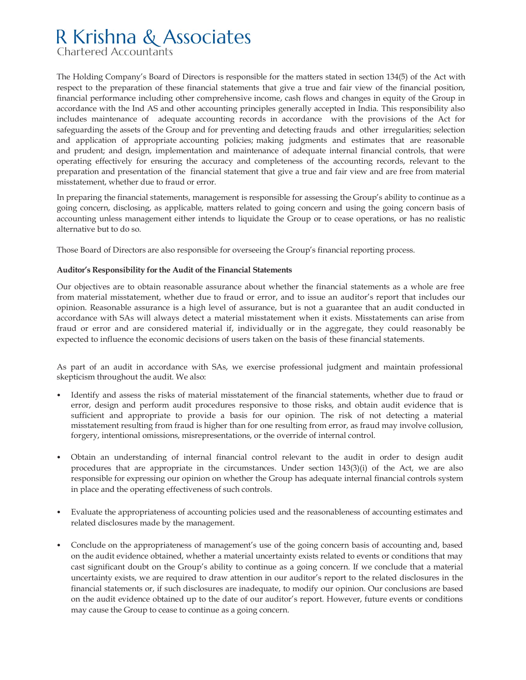# R Krishna & Associates

**Chartered Accountants** 

The Holding Company's Board of Directors is responsible for the matters stated in section 134(5) of the Act with respect to the preparation of these financial statements that give a true and fair view of the financial position, financial performance including other comprehensive income, cash flows and changes in equity of the Group in accordance with the Ind AS and other accounting principles generally accepted in India. This responsibility also includes maintenance of adequate accounting records in accordance with the provisions of the Act for safeguarding the assets of the Group and for preventing and detecting frauds and other irregularities; selection and application of appropriate accounting policies; making judgments and estimates that are reasonable and prudent; and design, implementation and maintenance of adequate internal financial controls, that were operating effectively for ensuring the accuracy and completeness of the accounting records, relevant to the preparation and presentation of the financial statement that give a true and fair view and are free from material misstatement, whether due to fraud or error.

In preparing the financial statements, management is responsible for assessing the Group's ability to continue as a going concern, disclosing, as applicable, matters related to going concern and using the going concern basis of accounting unless management either intends to liquidate the Group or to cease operations, or has no realistic alternative but to do so.

Those Board of Directors are also responsible for overseeing the Group's financial reporting process.

# **Auditor's Responsibility for the Audit of the Financial Statements**

Our objectives are to obtain reasonable assurance about whether the financial statements as a whole are free from material misstatement, whether due to fraud or error, and to issue an auditor's report that includes our opinion. Reasonable assurance is a high level of assurance, but is not a guarantee that an audit conducted in accordance with SAs will always detect a material misstatement when it exists. Misstatements can arise from fraud or error and are considered material if, individually or in the aggregate, they could reasonably be expected to influence the economic decisions of users taken on the basis of these financial statements.

As part of an audit in accordance with SAs, we exercise professional judgment and maintain professional skepticism throughout the audit. We also:

- Identify and assess the risks of material misstatement of the financial statements, whether due to fraud or error, design and perform audit procedures responsive to those risks, and obtain audit evidence that is sufficient and appropriate to provide a basis for our opinion. The risk of not detecting a material misstatement resulting from fraud is higher than for one resulting from error, as fraud may involve collusion, forgery, intentional omissions, misrepresentations, or the override of internal control.
- Obtain an understanding of internal financial control relevant to the audit in order to design audit procedures that are appropriate in the circumstances. Under section 143(3)(i) of the Act, we are also responsible for expressing our opinion on whether the Group has adequate internal financial controls system in place and the operating effectiveness of such controls.
- Evaluate the appropriateness of accounting policies used and the reasonableness of accounting estimates and related disclosures made by the management.
- Conclude on the appropriateness of management's use of the going concern basis of accounting and, based on the audit evidence obtained, whether a material uncertainty exists related to events or conditions that may cast significant doubt on the Group's ability to continue as a going concern. If we conclude that a material uncertainty exists, we are required to draw attention in our auditor's report to the related disclosures in the financial statements or, if such disclosures are inadequate, to modify our opinion. Our conclusions are based on the audit evidence obtained up to the date of our auditor's report. However, future events or conditions may cause the Group to cease to continue as a going concern.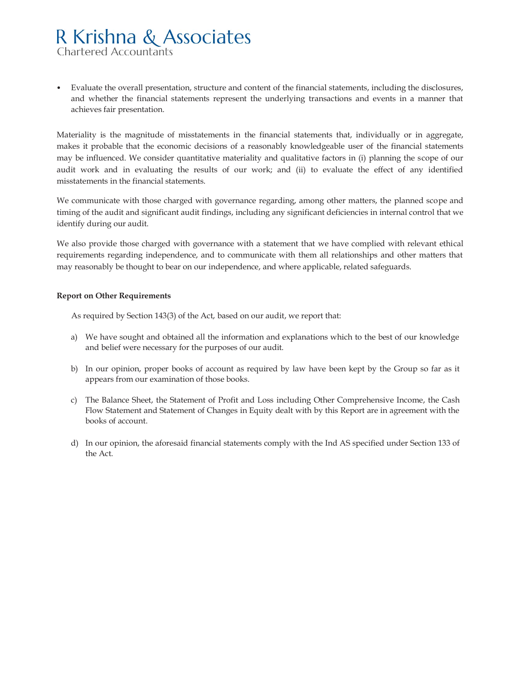# R Krishna & Associates **Chartered Accountants**

• Evaluate the overall presentation, structure and content of the financial statements, including the disclosures, and whether the financial statements represent the underlying transactions and events in a manner that achieves fair presentation.

Materiality is the magnitude of misstatements in the financial statements that, individually or in aggregate, makes it probable that the economic decisions of a reasonably knowledgeable user of the financial statements may be influenced. We consider quantitative materiality and qualitative factors in (i) planning the scope of our audit work and in evaluating the results of our work; and (ii) to evaluate the effect of any identified misstatements in the financial statements.

We communicate with those charged with governance regarding, among other matters, the planned scope and timing of the audit and significant audit findings, including any significant deficiencies in internal control that we identify during our audit.

We also provide those charged with governance with a statement that we have complied with relevant ethical requirements regarding independence, and to communicate with them all relationships and other matters that may reasonably be thought to bear on our independence, and where applicable, related safeguards.

# **Report on Other Requirements**

As required by Section 143(3) of the Act, based on our audit, we report that:

- a) We have sought and obtained all the information and explanations which to the best of our knowledge and belief were necessary for the purposes of our audit.
- b) In our opinion, proper books of account as required by law have been kept by the Group so far as it appears from our examination of those books.
- c) The Balance Sheet, the Statement of Profit and Loss including Other Comprehensive Income, the Cash Flow Statement and Statement of Changes in Equity dealt with by this Report are in agreement with the books of account.
- d) In our opinion, the aforesaid financial statements comply with the Ind AS specified under Section 133 of the Act.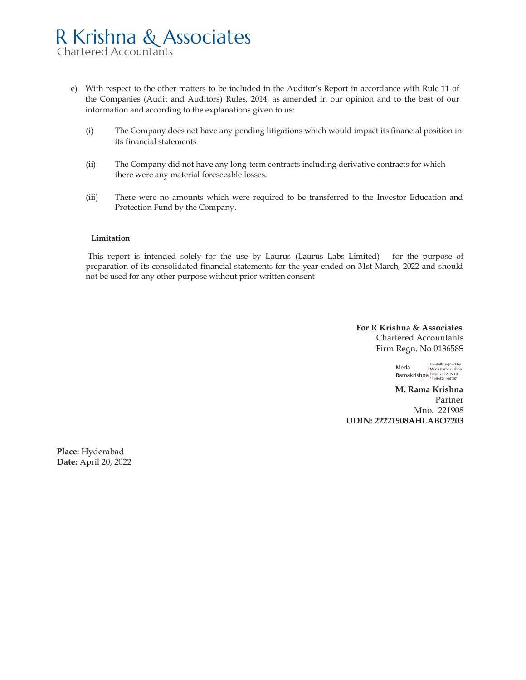- e) With respect to the other matters to be included in the Auditor's Report in accordance with Rule 11 of the Companies (Audit and Auditors) Rules, 2014, as amended in our opinion and to the best of our information and according to the explanations given to us:
	- (i) The Company does not have any pending litigations which would impact its financial position in its financial statements
	- (ii) The Company did not have any long-term contracts including derivative contracts for which there were any material foreseeable losses.
	- (iii) There were no amounts which were required to be transferred to the Investor Education and Protection Fund by the Company.

# **Limitation**

 This report is intended solely for the use by Laurus (Laurus Labs Limited) for the purpose of preparation of its consolidated financial statements for the year ended on 31st March, 2022 and should not be used for any other purpose without prior written consent

> **For R Krishna & Associates** Chartered Accountants Firm Regn. No 013658S

> > Meda Ramakrishna Date: 2022.06.10 11:40:52 +05'30'Digitally signed by Meda Ramakrishna

**M. Rama Krishna**  Partner Mno**.** 221908 **UDIN: 22221908AHLABO7203** 

**Place:** Hyderabad **Date:** April 20, 2022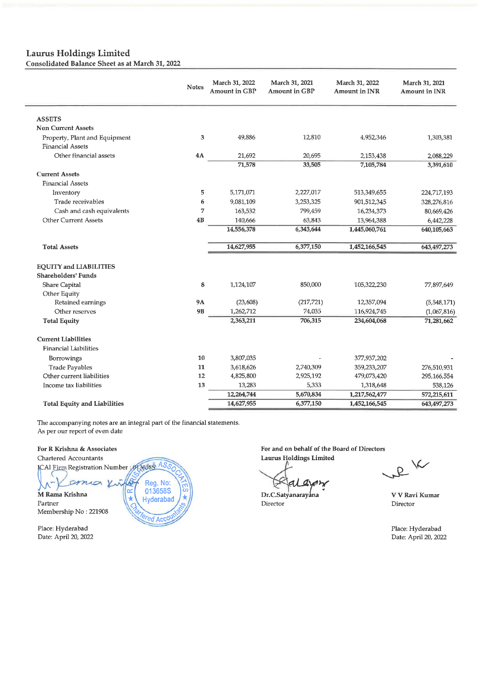# Laurus Holdings Limited Consolidated Balance Sheet as at March 31, 2022

Ξ

|                                                          | <b>Notes</b> | March 31, 2022<br><b>Amount in GBP</b> | March 31, 2021<br><b>Amount in GBP</b> | March 31, 2022<br><b>Amount in INR</b> | March 31, 2021<br><b>Amount in INR</b> |
|----------------------------------------------------------|--------------|----------------------------------------|----------------------------------------|----------------------------------------|----------------------------------------|
| <b>ASSETS</b>                                            |              |                                        |                                        |                                        |                                        |
| <b>Non Current Assets</b>                                |              |                                        |                                        |                                        |                                        |
| Property, Plant and Equipment<br><b>Financial Assets</b> | 3            | 49,886                                 | 12,810                                 | 4,952,346                              | 1,303,381                              |
| Other financial assets                                   | 4A           | 21,692                                 | 20,695                                 | 2,153,438                              | 2,088,229                              |
|                                                          |              | 71,578                                 | 33,505                                 | 7,105,784                              | 3,391,610                              |
| <b>Current Assets</b>                                    |              |                                        |                                        |                                        |                                        |
| <b>Financial Assets</b>                                  |              |                                        |                                        |                                        |                                        |
| Inventory                                                | 5            | 5,171,071                              | 2,227,017                              | 513,349,655                            | 224,717,193                            |
| Trade receivables                                        | 6            | 9,081,109                              | 3,253,325                              | 901,512,345                            | 328,276,816                            |
| Cash and cash equivalents                                | 7            | 163,532                                | 799,459                                | 16,234,373                             | 80,669,426                             |
| <b>Other Current Assets</b>                              | 4B           | 140,666                                | 63,843                                 | 13,964,388                             | 6,442,228                              |
|                                                          |              | 14,556,378                             | 6,343,644                              | 1,445,060,761                          | 640,105,663                            |
| <b>Total Assets</b>                                      |              | 14,627,955                             | 6,377,150                              | 1,452,166,545                          | 643,497,273                            |
| <b>EQUITY and LIABILITIES</b>                            |              |                                        |                                        |                                        |                                        |
| <b>Shareholders' Funds</b>                               |              |                                        |                                        |                                        |                                        |
| <b>Share Capital</b>                                     | 8            | 1,124,107                              | 850,000                                | 105,322,230                            | 77,897,649                             |
| Other Equity                                             |              |                                        |                                        |                                        |                                        |
| Retained earnings                                        | <b>9A</b>    | (23, 608)                              | (217, 721)                             | 12,357,094                             | (5,548,171)                            |
| Other reserves                                           | 9 <b>B</b>   | 1,262,712                              | 74,035                                 | 116,924,745                            | (1,067,816)                            |
| <b>Total Equity</b>                                      |              | 2,363,211                              | 706,315                                | 234,604,068                            | 71,281,662                             |
| <b>Current Liabilities</b>                               |              |                                        |                                        |                                        |                                        |
| <b>Financial Liabilities</b>                             |              |                                        |                                        |                                        |                                        |
| Borrowings                                               | 10           | 3,807,035                              |                                        | 377,937,202                            |                                        |
| <b>Trade Payables</b>                                    | 11           | 3,618,626                              | 2,740,309                              | 359,233,207                            | 276,510,931                            |
| Other current liabilities                                | 12           | 4,825,800                              | 2,925,192                              | 479,073,420                            | 295,166,554                            |
| Income tax liabilities                                   | 13           | 13,283                                 | 5,333                                  | 1,318,648                              | 538,126                                |
|                                                          |              | 12,264,744                             | 5,670,834                              | 1,217,562,477                          | 572,215,611                            |
| <b>Total Equity and Liabilities</b>                      |              | 14,627,955                             | 6,377,150                              | 1,452,166,545                          | 643,497,273                            |

The accompanying notes are an integral part of the financial statements. As per our report of even date

# For R Krishna & Associates

Chartered Accountants JCAI Firm Registration Number 196388 ASS

omo y  $\lambda$ M Rama Krishna Partner Membership No: 221908

Place: Hyderabad Date: April 20, 2022



For and on behalf of the Board of Directors **Laurus Holdings Limited** 

awn

₽€

Director

dЛ

Dr.C.Satyanarayana

W  $\mathcal{Q}_t$ 

V V Ravi Kumar  $\rm{Directory}$ 

Place: Hyderabad Date: April 20, 2022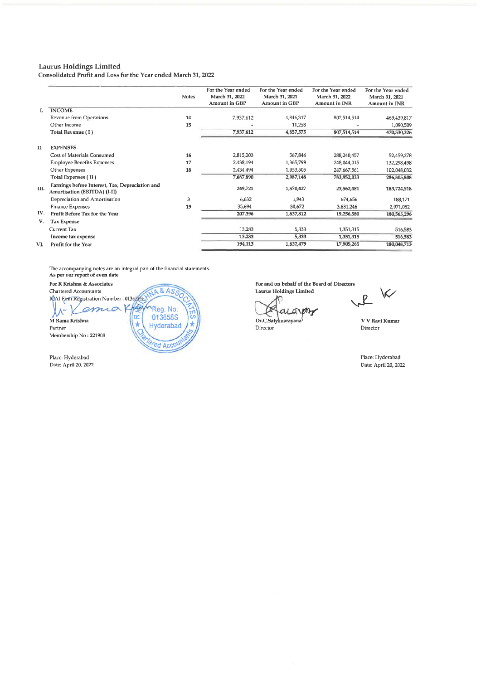Consolidated Profit and Loss for the Year ended March 31, 2022

|                                                                                       | <b>Notes</b> | For the Year ended<br>March 31, 2022<br>Amount in GBP | For the Year ended<br>March 31, 2021<br><b>Amount in GBP</b> | For the Year ended<br>March 31, 2022<br><b>Amount in INR</b> | For the Year ended<br>March 31, 2021<br><b>Amount in INR</b> |
|---------------------------------------------------------------------------------------|--------------|-------------------------------------------------------|--------------------------------------------------------------|--------------------------------------------------------------|--------------------------------------------------------------|
| <b>INCOME</b><br>L.                                                                   |              |                                                       |                                                              |                                                              |                                                              |
| Revenue from Operations                                                               | 14           | 7,937,612                                             | 4,846,317                                                    | 807,514,514                                                  | 469,439,817                                                  |
| Other Income                                                                          | 15           |                                                       | 11,258                                                       |                                                              | 1,090,509                                                    |
| Total Revenue (I)                                                                     |              | 7,937,612                                             | 4,857,575                                                    | 807,514,514                                                  | 470,530,326                                                  |
| П.<br><b>EXPENSES</b>                                                                 |              |                                                       |                                                              |                                                              |                                                              |
| Cost of Materials Consumed                                                            | 16           | 2,815,203                                             | 567,844                                                      | 288,240,457                                                  | 52,459,278                                                   |
| <b>Employee Benefits Expenses</b>                                                     | 17           | 2,438,194                                             | 1,365,799                                                    | 248,044,015                                                  | 132,298,498                                                  |
| Other Expenses                                                                        | 18           | 2,434,494                                             | 1,053,505                                                    | 247,667,561                                                  | 102,048,032                                                  |
| Total Expenses (II)                                                                   |              | 7,687,890                                             | 2,987,148                                                    | 783,952,033                                                  | 286,805,808                                                  |
| Earnings before Interest, Tax, Depreciation and<br>Ш.<br>Amortisation (EBITDA) (I-II) |              | 249,721                                               | 1,870,427                                                    | 23,562,481                                                   | 183,724,518                                                  |
| Depreciation and Amortisation                                                         | 3            | 6,632                                                 | 1,943                                                        | 674,656                                                      | 188,171                                                      |
| Finance Expenses                                                                      | 19           | 35,694                                                | 30,672                                                       | 3,631,246                                                    | 2,971,052                                                    |
| IV.<br>Profit Before Tax for the Year                                                 |              | 207,396                                               | 1,837,812                                                    | 19,256,580                                                   | 180,565,296                                                  |
| V.<br><b>Tax Expense</b>                                                              |              |                                                       |                                                              |                                                              |                                                              |
| Current Tax                                                                           |              | 13,283                                                | 5,333                                                        | 1,351,315                                                    | 516,583                                                      |
| Income tax expense                                                                    |              | 13,283                                                | 5,333                                                        | 1,351,315                                                    | 516,583                                                      |
| VI.<br>Profit for the Year                                                            |              | 194,113                                               | 1,832,479                                                    | 17,905,265                                                   | 180,048,713                                                  |

The accompanying notes are an integral part of the financial statements. As  ${\bf p}{\bf e}$  our report of  ${\bf e}$  wen date

For R Krishna & Associates Chartered Accountants A& ASS ICAI Firm Registration Number: 013632  $m\alpha$ k Reg. No:<br>013658S  $\sim$ ٨ŕ M Rama Krishna ý, Hyderabad Partner Membership No: 221908 ered Acco  $\mathop{\mathsf{Place}}$  : Hyderabad

Date: April 20, 2022

For and on behalf of the Board of Directors Laurus Holdings Limited

а Dr.C.Satyhnarayana Director

 $\sqrt{}$  $R_{-}$ 

V V Ravi Kumar Director

Place: Hyderabad Date: April 20, 2022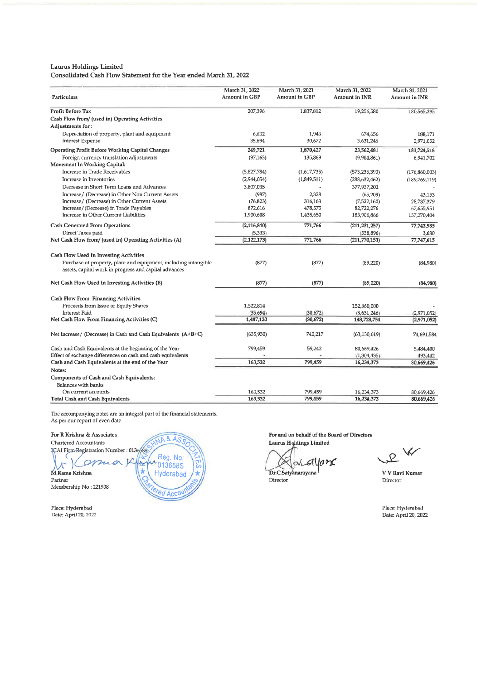Consolidated Cash Flow Statement for the Year ended March 31, 2022

|                                                                 | March 31, 2022       | March 31, 2021       | March 31, 2022  | March 31, 2021  |
|-----------------------------------------------------------------|----------------------|----------------------|-----------------|-----------------|
| Particulars                                                     | <b>Amount in GBP</b> | <b>Amount in GBP</b> | Amount in INR   | Amount in INR   |
| <b>Profit Before Tax</b>                                        | 207,396              | 1,837,812            | 19,256,580      | 180,565,295     |
| Cash Flow from/ (used in) Operating Activities                  |                      |                      |                 |                 |
| Adjustments for:                                                |                      |                      |                 |                 |
| Depreciation of property, plant and equipment                   | 6.632                | 1,943                | 674,656         | 188,171         |
| Interest Expense                                                | 35,694               | 30,672               | 3,631,246       | 2,971,052       |
| <b>Operating Profit Before Working Capital Changes</b>          | 249,721              | 1,870,427            | 23,562,481      | 183,724,518     |
| Foreign currency translation adjustments                        | (97, 163)            | 135,869              | (9,904,861)     | 6,941,702       |
| Movement In Working Capital:                                    |                      |                      |                 |                 |
| Increase in Trade Receivables                                   | (5,827,784)          | (1,617,735)          | (573, 235, 390) | (176, 860, 003) |
| Increase in Inventories                                         | (2,944,054)          | (1,849,511)          | (288, 632, 462) | (189, 769, 119) |
| Decrease in Short Term Loans and Advances                       | 3,807,035            |                      | 377,937,202     |                 |
| Increase/ (Decrease) in Other Non Current Assets                | (997)                | 2,328                | (65, 209)       | 43,153          |
| Increase/ (Decrease) in Other Current Assets                    | (76, 823)            | 316,163              | (7,522,160)     | 28,737,379      |
| Increase/(Decrease) in Trade Payables                           | 872,616              | 478,575              | 82,722,276      | 67,655,951      |
| Increase in Other Current Liabilities                           | 1,900,608            | 1,435,650            | 183,906,866     | 157,270,404     |
| <b>Cash Generated From Operations</b>                           | (2, 116, 840)        | 771,766              | (211, 231, 257) | 77,743,985      |
| Direct Taxes paid                                               | (5, 333)             |                      | (538, 896)      | 3,630           |
| Net Cash Flow from/ (used in) Operating Activities (A)          | (2, 122, 173)        | 771,766              | (211,770,153)   | 77,747,615      |
| Cash Flow Used In Investing Activities                          |                      |                      |                 |                 |
| Purchase of property, plant and equipment, including intangible | (877)                | (877)                | (89, 220)       | (84,980)        |
| assets, capital work in progress and capital advances           |                      |                      |                 |                 |
| Net Cash Flow Used In Investing Activities (B)                  | (877)                | (877)                | (89, 220)       | (84,980)        |
| <b>Cash Flow From Financing Activities</b>                      |                      |                      |                 |                 |
| Proceeds from Issue of Equity Shares                            | 1,522,814            |                      | 152,360,000     |                 |
| <b>Interest Paid</b>                                            | (35, 694)            | (30.672)             | (3,631,246)     | (2.971, 052)    |
| Net Cash Flow From Financing Activities (C)                     | 1,487,120            | (30, 672)            | 148,728,754     | (2,971,052)     |
| Net Increase/ (Decrease) in Cash and Cash Equivalents (A+B+C)   | (635,930)            | 740,217              | (63, 130, 619)  | 74,691,584      |
| Cash and Cash Equivalents at the beginning of the Year          | 799,459              | 59,242               | 80,669,426      | 5,484,400       |
| Effect of exchange differences on cash and cash equivalents     |                      |                      | (1,304,435)     | 493,442         |
| Cash and Cash Equivalents at the end of the Year                | 163,532              | 799,459              | 16,234,373      | 80,669,426      |
| Notes:                                                          |                      |                      |                 |                 |
| Components of Cash and Cash Equivalents:                        |                      |                      |                 |                 |
| <b>Balances with banks</b>                                      |                      |                      |                 |                 |
| On current accounts                                             | 163,532              | 799,459              | 16,234,373      | 80,669,426      |
| <b>Total Cash and Cash Equivalents</b>                          | 163,532              | 799,459              | 16,234,373      | 80,669,426      |

The accompanying notes are an integral part of the financial statements. As per our report of even date  $\,$ 

For R Krishna & Associates NA&ASS Chartered Accountants ICAI Firm Registration Number: 0136589 Reg. No:<br>013658S  $\mathcal{D}$ m Ä  $\lambda^{\perp}$ M Rama Krishna Hyderabad Partner Membership No: 221908 *Fed Accou* 

Place: Hyderabad Date: April 20, 2022 For and on behalf of the Board of Directors Laurus Huldings Limited

lanC M

Dr.C.Satyanarayana Director

 $R_{\textrm{L}}$ 

 $\mathbf V$ V Ravi Kumar Director

Place: Hyderabad Date: April 20, 2022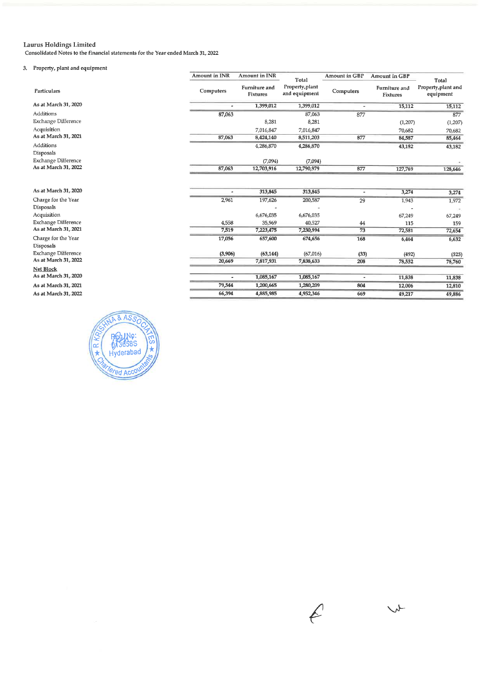Laurus Holdings Limited<br>Consolidated Notes to the financial statements for the Year ended March 31, 2022

# 3. Property, plant and equipment

|                            | <b>Amount in INR</b> | <b>Amount in INR</b>             | Total                            | Amount in GBP | <b>Amount in GBP</b>      |                                                  |
|----------------------------|----------------------|----------------------------------|----------------------------------|---------------|---------------------------|--------------------------------------------------|
| <b>Particulars</b>         | Computers            | Furniture and<br><b>Fixtures</b> | Property, plant<br>and equipment | Computers     | Furniture and<br>Fixtures | <b>Total</b><br>Property, plant and<br>equipment |
| As at March 31, 2020       |                      | 1,399,012                        | 1,399,012                        |               | 15,112                    | 15,112                                           |
| <b>Additions</b>           | 87,063               |                                  | 87,063                           | 877           |                           | 877                                              |
| Exchange Difference        |                      | 8,281                            | 8,281                            |               | (1,207)                   | (1,207)                                          |
| Acquisition                |                      | 7,016,847                        | 7,016,847                        |               | 70,682                    | 70,682                                           |
| As at March 31, 2021       | 87,063               | 8,424,140                        | 8,511,203                        | 877           | 84,587                    | 85,464                                           |
| Additions                  |                      | 4,286,870                        | 4,286,870                        |               | 43,182                    | 43,182                                           |
| Disposals                  |                      |                                  |                                  |               |                           |                                                  |
| Exchange Difference        |                      | (7,094)                          | (7,094)                          |               |                           |                                                  |
| As at March 31, 2022       | 87,063               | 12,703,916                       | 12,790,979                       | 877           | 127,769                   | 128,646                                          |
|                            |                      |                                  |                                  |               |                           |                                                  |
| As at March 31, 2020       |                      | 313,845                          | 313,845                          |               | 3,274                     | 3,274                                            |
| Charge for the Year        | 2,961                | 197,626                          | 200,587                          | 29            | 1,943                     | 1,972                                            |
| Disposals                  |                      |                                  |                                  |               |                           |                                                  |
| Acquisition                |                      | 6,676,035                        | 6,676,035                        |               | 67,249                    | 67,249                                           |
| <b>Exchange Difference</b> | 4,558                | 35,969                           | 40,527                           | 44            | 115                       | 159                                              |
| As at March 31, 2021       | 7,519                | 7,223,475                        | 7,230,994                        | 73            | 72,581                    | 72,654                                           |
| Charge for the Year        | 17,056               | 657,600                          | 674,656                          | 168           | 6,464                     | 6,632                                            |
| Disposals                  |                      |                                  |                                  |               |                           |                                                  |
| Exchange Difference        | (3,906)              | (63, 144)                        | (67,016)                         | (33)          | (492)                     | (525)                                            |
| As at March 31, 2022       | 20,669               | 7,817,931                        | 7,838,633                        | 208           | 78,552                    | 78,760                                           |
| Net Block                  |                      |                                  |                                  |               |                           |                                                  |
| As at March 31, 2020       |                      | 1,085,167                        | 1,085,167                        |               | 11,838                    | 11,838                                           |
| As at March 31, 2021       | 79,544               | 1,200,665                        | 1,280,209                        | 804           | 12,006                    | 12,810                                           |
| As at March 31, 2022       | 66,394               | 4,885,985                        | 4,952,346                        | 669           | 49,217                    | 49,886                                           |
|                            |                      |                                  |                                  |               |                           |                                                  |





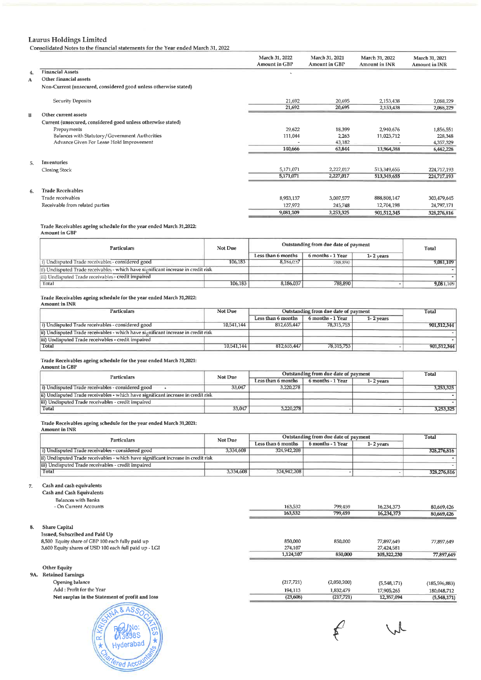Consolidated Notes to the financial statements for the Year ended March 31, 2022

|    |                                                                  | March 31, 2022<br><b>Amount in GBP</b> | March 31, 2021<br>Amount in GBP | March 31, 2022<br><b>Amount in INR</b> | March 31, 2021<br>Amount in INR |
|----|------------------------------------------------------------------|----------------------------------------|---------------------------------|----------------------------------------|---------------------------------|
| 4. | <b>Financial Assets</b>                                          | $\overline{\phantom{a}}$               |                                 |                                        |                                 |
| A  | Other financial assets                                           |                                        |                                 |                                        |                                 |
|    | Non-Current (unsecured, considered good unless otherwise stated) |                                        |                                 |                                        |                                 |
|    | Security Deposits                                                | 21,692                                 | 20,695                          | 2,153,438                              | 2,088,229                       |
|    |                                                                  | 21,692                                 | 20,695                          | 2,153,438                              | 2,088,229                       |
| B  | Other current assets                                             |                                        |                                 |                                        |                                 |
|    | Current (unsecured, considered good unless otherwise stated)     |                                        |                                 |                                        |                                 |
|    | Prepayments                                                      | 29,622                                 | 18,399                          | 2,940,676                              | 1,856.551                       |
|    | Balances with Statutory/Government Authorities                   | 111,044                                | 2,263                           | 11,023,712                             | 228,348                         |
|    | Advance Given For Lease Hold Improvement                         |                                        | 43,182                          |                                        | 4,357,329                       |
|    |                                                                  | 140,666                                | 63,844                          | 13,964,388                             | 6,442,228                       |
| 5. | <b>Inventories</b>                                               |                                        |                                 |                                        |                                 |
|    | Closing Stock                                                    | 5,171,071                              | 2,227,017                       | 513,349,655                            | 224,717,193                     |
|    |                                                                  | 5,171,071                              | 2,227,017                       | 513,349,655                            | 224,717,193                     |
| 6. | <b>Trade Receivables</b>                                         |                                        |                                 |                                        |                                 |
|    | Trade receivables                                                | 8,953,137                              | 3,007,577                       | 888,808,147                            | 303,479,645                     |
|    | Receivable from related parties                                  | 127,972                                | 245,748                         | 12,704,198                             | 24,797,171                      |
|    |                                                                  | 9,081,109                              | 3,253,325                       | 901,512,345                            | 328,276,816                     |

# Trade Receivables ageing schedule for the year ended March 31,<br>2022: Amount in GBP

| <b>Particulars</b>                                                                | Not Due |                    | Outstanding from due date of payment |               | Total     |
|-----------------------------------------------------------------------------------|---------|--------------------|--------------------------------------|---------------|-----------|
|                                                                                   |         | Less than 6 months | 6 months - 1 Year                    | $1 - 2$ vears |           |
| i) Undisputed Trade receivables - considered good                                 | 106.183 | 8.186.037          | 788.890                              |               | 9,081,109 |
| ii) Undisputed Trade receivables - which have significant increase in credit risk |         |                    |                                      |               |           |
| iii) Undisputed Trade receivables - credit impaired                               |         |                    |                                      |               |           |
| Total                                                                             | 106.183 | 8.186.037          | 788.890                              |               | 9,081,109 |

### Trade Receivables ageing schedule for the year ended March 31,2022:

Amount in INR

| <b>Particulars</b>                                                                | Not Due    | Outstanding from due date of payment |                   | <b>Total</b> |             |
|-----------------------------------------------------------------------------------|------------|--------------------------------------|-------------------|--------------|-------------|
|                                                                                   |            | Less than 6 months                   | 6 months - 1 Year | 1- 2 vears   |             |
| i) Undisputed Trade receivables - considered good                                 | 10.541.144 | 812,655,447                          | 78.315.753        |              | 901,512,344 |
| ii) Undisputed Trade receivables - which have significant increase in credit risk |            |                                      |                   |              |             |
| iii) Undisputed Trade receivables - credit impaired                               |            |                                      |                   |              |             |
| Total                                                                             | 10.541.144 | 812.655.447                          | 78,315,753        |              | 901,512,344 |

 $\operatorname{Trace}$  Receivables ageing schedule for the year ended March 31,<br>2021: Amount in GBP

| <b>Particulars</b>                                                                | Not Due |                    | Outstanding from due date of payment |           | Total     |
|-----------------------------------------------------------------------------------|---------|--------------------|--------------------------------------|-----------|-----------|
|                                                                                   |         | Less than 6 months | 6 months - 1 Year                    | 1-2 years |           |
| i) Undisputed Trade receivables - considered good                                 | 33.047  | 3,220,278          |                                      |           | 3,253,325 |
| ii) Undisputed Trade receivables - which have significant increase in credit risk |         |                    |                                      |           |           |
| iii) Undisputed Trade receivables - credit impaired                               |         |                    |                                      |           |           |
| Total                                                                             | 33.047  | 3,220,278          |                                      |           | 3,253,325 |

# Trade Receivables ageing schedule for the year ended March 31,2021:<br>Amount in INR

artered Accou

| <b>Particulars</b>                                                                | Not Due   | Outstanding from due date of payment | <b>Total</b>      |               |             |
|-----------------------------------------------------------------------------------|-----------|--------------------------------------|-------------------|---------------|-------------|
|                                                                                   |           | Less than 6 months                   | 6 months - 1 Year | $1 - 2$ years |             |
| i) Undisputed Trade receivables - considered good                                 | 3,334,608 | 324.942.208                          |                   |               | 328,276,816 |
| ii) Undisputed Trade receivables - which have significant increase in credit risk |           |                                      |                   |               |             |
| liii) Undisputed Trade receivables - credit impaired                              |           |                                      |                   |               |             |
| <b>Total</b>                                                                      | 3,334,608 | 324,942,208                          |                   |               | 328,276,816 |

Cash and cash equivalents  $7. \,$ 

|  |  | <b>Cash and Cash Equivalents</b> |  |
|--|--|----------------------------------|--|
|--|--|----------------------------------|--|

**Balances with Banks** 

| - On Current Accounts                                       | 163,532    | 799,459     | 16,234,373  | 80,669,426      |
|-------------------------------------------------------------|------------|-------------|-------------|-----------------|
|                                                             | 163,532    | 799,459     | 16,234,373  | 80,669,426      |
| <b>Share Capital</b><br>8.                                  |            |             |             |                 |
| <b>Issued, Subscribed and Paid Up</b>                       |            |             |             |                 |
| 8,500 Equity share of GBP 100 each fully paid up            | 850,000    | 850,000     | 77,897,649  | 77,897,649      |
| 3,600 Equity shares of USD 100 each full paid up - LGI      | 274,107    |             | 27,424,581  |                 |
|                                                             | 1,124,107  | 850,000     | 105,322,230 | 77,897,649      |
| <b>Other Equity</b>                                         |            |             |             |                 |
| <b>Retained Earnings</b><br>9A.                             |            |             |             |                 |
| Opening balance                                             | (217, 721) | (2,050,200) | (5,548,171) | (185, 596, 883) |
| Add : Profit for the Year                                   | 194,113    | 1,832,479   | 17,905,265  | 180,048,712     |
| Net surplus in the Statement of profit and loss             | (23, 608)  | (217, 721)  | 12,357,094  | (5,548,171)     |
| A& ASSO<br>c<br><b>co</b><br>œ<br>$\star$<br>Hyderabad<br>জ |            |             |             |                 |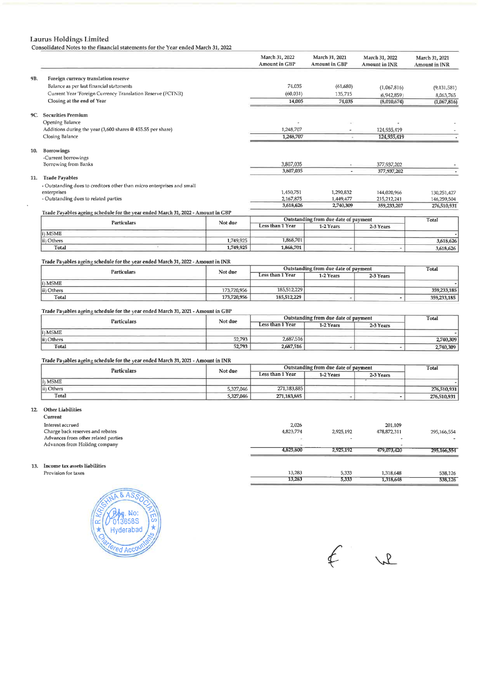Consolidated Notes to the financial statements for the Year ended March 31, 2022

|     |                                                                                  |           | March 31, 2022<br>Amount in GBP | March 31, 2021<br>Amount in GBP      | March 31, 2022<br><b>Amount in INR</b> | March 31, 2021<br><b>Amount</b> in <b>INR</b> |
|-----|----------------------------------------------------------------------------------|-----------|---------------------------------|--------------------------------------|----------------------------------------|-----------------------------------------------|
| 9B. | Foreign currency translation reserve                                             |           |                                 |                                      |                                        |                                               |
|     | Balance as per last financial statements                                         |           | 74.035                          | (61,680)                             | (1,067,816)                            | (9,131,581)                                   |
|     | Current Year 'Foreign Currency Translation Reserve (FCTNR)                       |           | (60, 031)                       | 135,715                              | (6,942,859)                            | 8,063,765                                     |
|     | Closing at the end of Year                                                       |           | 14,005                          | 74,035                               | (8,010,674)                            | (1,067,816)                                   |
| 9C. | <b>Securities Premium</b>                                                        |           |                                 |                                      |                                        |                                               |
|     | Opening Balance                                                                  |           |                                 |                                      |                                        |                                               |
|     | Additions during the year (3,600 shares @ 455.55 per share)                      |           | 1,248,707                       |                                      | 124,935,419                            |                                               |
|     | Closing Balance                                                                  |           | 1,248,707                       |                                      | 124,935,419                            |                                               |
| 10. | <b>Borrowings</b>                                                                |           |                                 |                                      |                                        |                                               |
|     | -Current borrowings                                                              |           |                                 |                                      |                                        |                                               |
|     | Borrowing from Banks                                                             |           | 3,807,035                       |                                      | 377,937,202                            |                                               |
| 11. | <b>Trade Payables</b>                                                            |           | 3,807,035                       |                                      | 377,937,202                            |                                               |
|     | - Outstanding dues to creditors other than micro enterprises and small           |           |                                 |                                      |                                        |                                               |
|     | enterprises                                                                      |           | 1,450,751                       | 1,290,832                            | 144,020,966                            | 130,251,427                                   |
|     | - Outstanding dues to related parties                                            |           | 2,167,875                       | 1,449,477                            | 215,212,241                            | 146,259,504                                   |
|     |                                                                                  |           | 3,618,626                       | 2,740,309                            | 359,233,207                            | 276,510,931                                   |
|     | Trade Payables ageing schedule for the year ended March 31, 2022 - Amount in GBP |           |                                 |                                      |                                        |                                               |
|     | <b>Particulars</b>                                                               | Not due   |                                 | Outstanding from due date of payment |                                        | Total                                         |
|     |                                                                                  |           | Less than 1 Year                | 1-2 Years                            | 2-3 Years                              |                                               |
|     | i) MSME                                                                          |           |                                 |                                      |                                        |                                               |
|     | ii) Others                                                                       | 1,749,925 | 1,868,701                       |                                      |                                        | 3,618,626                                     |
|     | Total                                                                            | 1,749,925 | 1,868,701                       |                                      |                                        | 3,618,626                                     |

| <b>Particulars</b> | Not due          | Outstanding from due date of payment |           |  | Total       |
|--------------------|------------------|--------------------------------------|-----------|--|-------------|
|                    | Less than 1 Year | 1-2 Years                            | 2-3 Years |  |             |
| i) MSME            |                  |                                      |           |  |             |
| ii) Others         | 173,720,956      | 185,512,229                          |           |  | 359,233,185 |
| Total              | 173,720,956      | 185,512,229                          |           |  | 359.233.185 |

# Trade Payables ageing schedule for the year ended March 31, 2021 - Amount in GBP

|            | Not due<br><b>Particulars</b><br>Less than 1 Year<br>1-2 Years | Outstanding from due date of payment |  |  | <b>Total</b> |
|------------|----------------------------------------------------------------|--------------------------------------|--|--|--------------|
|            |                                                                | 2-3 Years                            |  |  |              |
| i) MSME    |                                                                |                                      |  |  |              |
| ii) Others | 52,793                                                         | 2,687,516                            |  |  | 2.740.309    |
| Total      | 52,793                                                         | 2,687,516                            |  |  | 2,740,309    |

### Trade Payables ageing schedule for the year ended March 31, 2021 - Amount in INR

| <b>Particulars</b> | Not due   | Outstanding from due date of payment |           |           | <b>Total</b> |
|--------------------|-----------|--------------------------------------|-----------|-----------|--------------|
|                    |           | Less than 1 Year                     | 1-2 Years | 2-3 Years |              |
| i) MSME            |           |                                      |           |           |              |
| ii) Others         | 5,327,046 | 271,183,885                          |           |           | 276,510.931  |
| <b>Total</b>       | 5,327,046 | 271,183,885                          |           |           | 276,510,931  |

#### 12. Other Liabilities

| 4,825,800 | 2,925,192 | 479.073.420 | 295,166,554 |
|-----------|-----------|-------------|-------------|
|           |           |             |             |
| - 25      |           |             |             |
| 4,823,774 | 2,925,192 | 478,872,311 | 295,166,554 |
| 2,026     |           | 201,109     |             |
|           |           |             |             |

# 13. Income tax assets liabilities

Provision for taxes





1,318,648<br>1,318,648

538,126<br>538,126

 $5,333$ <br> $5,333$ 

13,283

13,283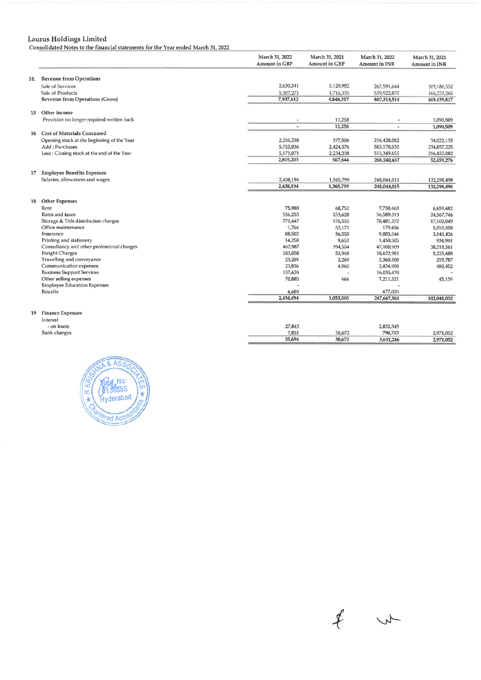Laurus Holdings Limited<br>Consolidated Notes to the financial statements for the Year ended March 31, 2022

|     |                                                              | March 31, 2022<br><b>Amount in GBP</b> | March 31, 2021<br><b>Amount in GBP</b> | March 31, 2022<br><b>Amount in INR</b> | March 31, 2021<br>Amount in INR |
|-----|--------------------------------------------------------------|----------------------------------------|----------------------------------------|----------------------------------------|---------------------------------|
| 14. | <b>Revenue from Operations</b>                               |                                        |                                        |                                        |                                 |
|     | Sale of Services                                             | 2,630,341                              | 3,129,982                              | 267,591,644                            | 303.186.552                     |
|     | Sale of Products                                             | 5,307,271                              | 1,716,335                              | 539,922,870                            | 166,253,265                     |
|     | <b>Revenue from Operations (Gross)</b>                       | 7,937,612                              | 4,846,317                              | 807,514,514                            | 469,439,817                     |
| 15  | Other income                                                 |                                        |                                        |                                        |                                 |
|     | Provision no longer required written back                    |                                        | 11,258                                 |                                        | 1,090,509                       |
|     |                                                              | ٠                                      | 11,258                                 | $\overline{a}$                         | 1.090.509                       |
|     | 16 Cost of Materials Consumed                                |                                        |                                        |                                        |                                 |
|     | Opening stock at the beginning of the Year                   | 2,234,238                              | 377,506                                | 216,420,082                            | 34,022,135                      |
|     | Add: Purchases                                               | 5,752,036                              | 2,424,576                              | 585,170,030                            | 234,857,225                     |
|     | Less: Closing stock at the end of the Year                   | 5,171,071                              | 2,234,238                              | 513,349,655                            | 216,420,082                     |
|     |                                                              | 2,815,203                              | 567,844                                | 288,240,457                            | 52,459,278                      |
| 17  | <b>Employee Benefits Expenses</b>                            |                                        |                                        |                                        |                                 |
|     | Salaries, allowances and wages                               | 2,438,194                              | 1,365,799                              | 248,044,015                            | 132,298,498                     |
|     |                                                              | 2,438,194                              | 1,365,799                              | 248,044,015                            | 132,298,498                     |
|     | 18 Other Expenses                                            |                                        |                                        |                                        |                                 |
|     | Rent                                                         | 75,988                                 | 68,752                                 | 7,730,463                              | 6,659,682                       |
|     | Rates and taxes                                              | 556,255                                | 253,628                                | 56,589,313                             | 24,567,746                      |
|     | Storage & Title distribution charges                         | 771,447                                | 176,555                                | 78,481,372                             | 17,102,049                      |
|     | Office maintenance                                           | 1,764                                  | 52,171                                 | 179,456                                | 5,053,558                       |
|     | Insurance                                                    | 88,502                                 | 36,550                                 | 9,003,546                              | 3,540,426                       |
|     | Printing and stationery                                      | 14,258                                 | 9,652                                  | 1,450,505                              | 934,944                         |
|     | Consultancy and other professional charges                   | 462,987                                | 394,554                                | 47,100,909                             | 38,218,561                      |
|     | <b>Freight Charges</b>                                       | 183,058                                | 53,948                                 | 18,622,981                             | 5.225,688                       |
|     | Travelling and conveyance                                    | 23,201                                 | 2,269                                  | 2,360,300                              | 219,787                         |
|     | Communication expenses                                       | 23,836                                 | 4,960                                  | 2,424,900                              | 480,452                         |
|     | <b>Business Support Services</b>                             | 157,624                                |                                        | 16,035,470                             |                                 |
|     | Other selling expenses<br><b>Employee Education Expenses</b> | 70,885                                 | 466                                    | 7,211,321                              | 45,139                          |
|     | Royalty                                                      | 4,689                                  |                                        | 477,025                                |                                 |
|     |                                                              | 2,434,494                              | 1,053,505                              | 247,667,561                            | 102,048,032                     |
|     |                                                              |                                        |                                        |                                        |                                 |
|     | 19 Finance Expenses                                          |                                        |                                        |                                        |                                 |
|     | Interest                                                     |                                        |                                        |                                        |                                 |
|     | - on loans                                                   | 27,843                                 |                                        | 2,832,543                              |                                 |
|     | Bank charges                                                 | 7,851                                  | 30,672                                 | 798,703                                | 2,971,052                       |
|     |                                                              | 35,694                                 | 30,672                                 | 3,631,246                              | 2,971,052                       |
|     |                                                              |                                        |                                        |                                        |                                 |



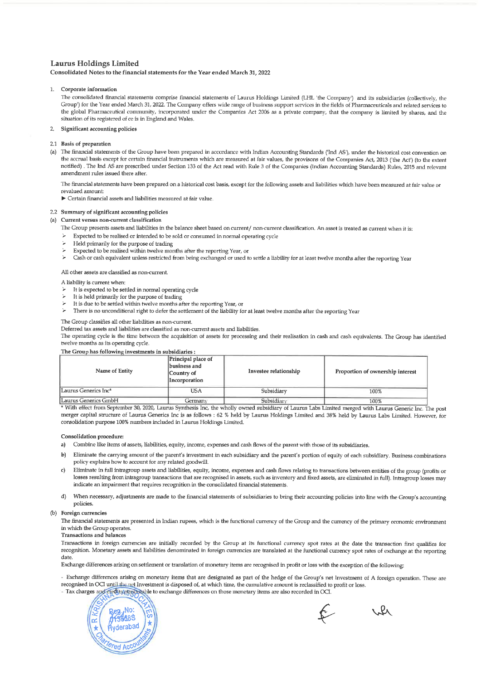#### Consolidated Notes to the financial statements for the Year ended March 31, 2022

1 Corporate information

The consolidated financial statements comprise financial statements of Laurus Holdings Limited (LHL 'the Company') and its subsidiaries (collectively, the Group') for the Year ended March 31, 2022. The Company offers wide range of business support services in the fields of Pharmaceuticals and related services to the global Pharmaceutical community, incorporated under the Companies Act 2006 as a private company, that the company is limited by shares, and the situation of its registered of ce is in England and Wales.

#### 2. Significant accounting policies

- 2.1 Basis of preparation
- (a) The financial statements of the Group have been prepared in accordance with Indian Accounting Standards ('Ind AS'), under the historical cost convention on the accrual basis except for certain financial instruments which are measured at fair values, the provisons of the Companies Act, 2013 ('the Act') (to the extent notified). The Ind AS are prescribed under Section 133 of the Act read with Rule 3 of the Companies (Indian Accounting Standards) Rules, 2015 and relevant amendment rules issued there after.

The financial statements have been prepared on a historical cost basis, except for the following assets and liabilities which have been measured at fair value or revalued amount:

 $\blacktriangleright$  Certain financial assets and liabilities measured at fair value.

#### 2.2 Summary of significant accounting policies

(a) Current versus non-current classification

The Group presents assets and liabilities in the balance sheet based on current/ non-current classification. An asset is treated as current when it is:

- Expected to be realised or intended to be sold or consumed in normal operating cycle
- Held primarily for the purpose of trading

Expected to be realised within twelve months after the reporting Year, or

 $\mathbf{r}$ Cash or cash equivalent unless restricted from being exchanged or used to settle a liability for at least twelve months after the reporting Year

All other assets are classified as non-current.

A liability is current when:

- It is expected to be settled in normal operating cycle
- It is held primarily for the purpose of trading
- It is due to be settled within twelve months after the reporting Year, or
- There is no unconditional right to defer the settlement of the liability for at least twelve months after the reporting Year

The Group classifies all other liabilities as non-current.

Deferred tax assets and liabilities are classified as non-current assets and liabilities.

The operating cycle is the time between the acquisition of assets for processing and their realisation in cash and cash equivalents. The Group has identified twelve months as its operating cycle.

#### The Group has following investments in subsidiaries :

| Name of Entity       | Principal place of<br>business and<br>Country of<br>Incorporation | Investee relationship | Proportion of ownership interest |
|----------------------|-------------------------------------------------------------------|-----------------------|----------------------------------|
| Laurus Generics Inc* | USA                                                               | Subsidiary            | 100%                             |
| Laurus Generics GmbH | Germany                                                           | Subsidiary            | 100%                             |

\* With effect from September 30, 2020, Laurus Synthesis Inc, the wholly owned subsidiary of Laurus Labs Limited merged with Laurus Generic Inc. The post merger capital structure of Laurus Generics Inc is as follows : 62 % held by Laurus Holdings Limited and 38% held by Laurus Labs Limited. However, for consolidation purpose 100% numbers included in Laurus Holdings Limited.

Consolidation procedure:

- $a)$ Combine like items of assets, liabilities, equity, income, expenses and cash flows of the parent with those of its subsidiaries.
- b) Eliminate the carrying amount of the parent's investment in each subsidiary and the parent's portion of equity of each subsidiary. Business combinations policy explains how to account for any related goodwill.
- c) Eliminate in full intragroup assets and liabilities, equity, income, expenses and cash flows relating to transactions between entities of the group (profits or losses resulting from intragroup transactions that are recognised in assets, such as inventory and fixed assets, are eliminated in full). Intragroup losses may indicate an impairment that requires recognition in the consolidated financial statements.
- When necessary, adjustments are made to the financial statements of subsidiaries to bring their accounting policies into line with the Group's accounting d) policies.

(b) Foreign currencies

The financial statements are presented in Indian rupees, which is the functional currency of the Group and the currency of the primary economic environment in which the Group operates.

Transactions and balances

Transactions in foreign currencies are initially recorded by the Group at its functional currency spot rates at the date the transaction first qualifies for recognition. Monetary assets and liabilities denominated in foreign currencies are translated at the functional currency spot rates of exchange at the reporting date

Exchange differences arising on settlement or translation of monetary items are recognised in profit or loss with the exception of the following:

- Exchange differences arising on monetary items that are designated as part of the hedge of the Group's net Investment of A foreign operation. These are recognised in OCI until the net Investment is disposed of, at which time, the cumulative amount is reclassified to profit or loss. - Tax charges and credits attachment to exchange differences on those monetary items are also recorded in OCI.



Ll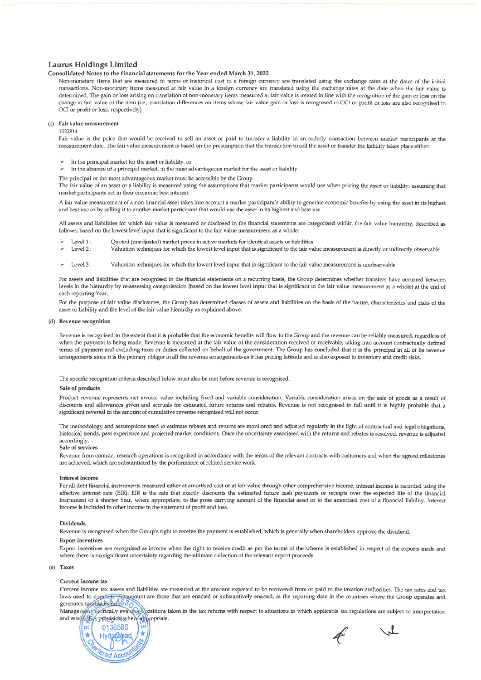#### Consolidated Notes to the financial statements for the Year ended March 31, 2022

Non-monetary items that are measured in terms of historical cost in a foreign currency are translated using the exchange rates at the dates of the initial transactions. Non-monetary items measured at fair value in a foreign currency are translated using the exchange rates at the date when the fair value is determined. The gain or loss arising on translation of non-monetary items measured at fair value is treated in line with the recognition of the gain or loss on the change in fair value of the item (i.e., translation differences on items whose fair value gain or loss is recognised in OCI or profit or loss are also recognised in OCI or profit or loss, respectively).

#### $(c)$  Fair value measurement

1522814

Fair value is the price that would be received to sell an asset or paid to transfer a liability in an orderly transaction between market participants at the measurement date. The fair value measurement is based on the presumption that the transaction to sell the asset or transfer the liability takes place either:

- In the principal market for the asset or liability, or
- In the absence of a principal market, in the most advantageous market for the asset or liability
- The principal or the most advantageous market must be accessible by the Group.

The fair value of an asset or a liability is measured using the assumptions that market participants would use when pricing the asset or liability, assuming that market participants act in their economic best interest.

A fair value measurement of a non-financial asset takes into account a market participant's ability to generate economic benefits by using the asset in its highest and best use or by selling it to another market participant that would use the asset in its highest and best use.

All assets and liabilities for which fair value is measured or disclosed in the financial statements are categorised within the fair value hierarchy, described as follows, based on the lowest level input that is significant to the fair value measurement as a whole

- Level 1  $\cdot$ Quoted (unadjusted) market prices in active markets for identical assets or liabilities
- Level 2: Valuation techniques for which the lowest level input that is significant to the fair value measurement is directly or indirectly observable
- $I$  evel 3. Valuation techniques for which the lowest level input that is significant to the fair value measurement is unobservable

For assets and liabilities that are recognised in the financial statements on a recurring basis, the Group determines whether transfers have occurred between levels in the hierarchy by re-assessing categorisation (based on the lowest level input that is significant to the fair value measurement as a whole) at the end of each reporting Year.

For the purpose of fair value disclosures, the Group has determined classes of assets and liabilities on the basis of the nature, characteristics and risks of the asset or liability and the level of the fair value hierarchy as explained above.

#### (d) Revenue recognition

Revenue is recognised to the extent that it is probable that the economic benefits will flow to the Group and the revenue can be reliably measured, regardless of when the payment is being made. Revenue is measured at the fair value of the consideration received or receivable, taking into account contractually defined terms of payment and excluding taxes or duties collected on behalf of the government. The Group has concluded that it is the principal in all of its revenue arrangements since it is the primary obligor in all the revenue arrangements as it has pricing latitude and is also exposed to inventory and credit risks.

The specific recognition criteria described below must also be met before revenue is recognised.

#### Sale of products

Product revenue represents net invoice value including fixed and variable consideration. Variable consideration arises on the sale of goods as a result of discounts and allowances given and accruals for estimated future returns and rebates. Revenue is not recognised in full until it is highly probable that a significant reversal in the amount of cumulative revenue recognised will not occur.

The methodology and assumptions used to estimate rebates and returns are monitored and adjusted regularly in the light of contractual and legal obligations, historical trends, past experience and projected market conditions. Once the uncertainty associated with the returns and rebates is resolved, revenue is adjusted accordingly

#### Sale of services

Revenue from contract research operations is recognised in accordance with the terms of the relevant contracts with customers and when the agreed milestones are achieved, which are substantiated by the performance of related service work.

#### Interest income

For all debt financial instruments measured either at amortised cost or at fair value through other comprehensive income, interest income is recorded using the effective interest rate (EIR). EIR is the rate that exactly discounts the estimated future cash payments or receipts over the expected life of the financial instrument or a shorter Year, where appropriate, to the gross carrying amount of the financial asset or to the amortised cost of a financial liability. Interest income is included in other income in the statement of profit and loss

#### **Dividends**

Revenue is recognised when the Group's right to receive the payment is established, which is generally when shareholders approve the dividend.

#### **Export incentives**

Export incentives are recognised as income when the right to receive credit as per the terms of the scheme is established in respect of the exports made and where there is no significant uncertainty regarding the ultimate collection of the relevant export proceeds.

#### $(e)$  Taxes

#### Current income tax

Current income tax assets and liabilities are measured at the amount expected to be recovered from or paid to the taxation authorities. The tax rates and tax laws used to compute the amount are those that are enacted or substantively enacted, at the reporting date in the countries where the Group operates and generates takable medine

Managemynt Yearically evaluates positions taken in the tax returns with respect to situations in which applicable tax regulations are subject to interpretation and establishes provision where appropriate.